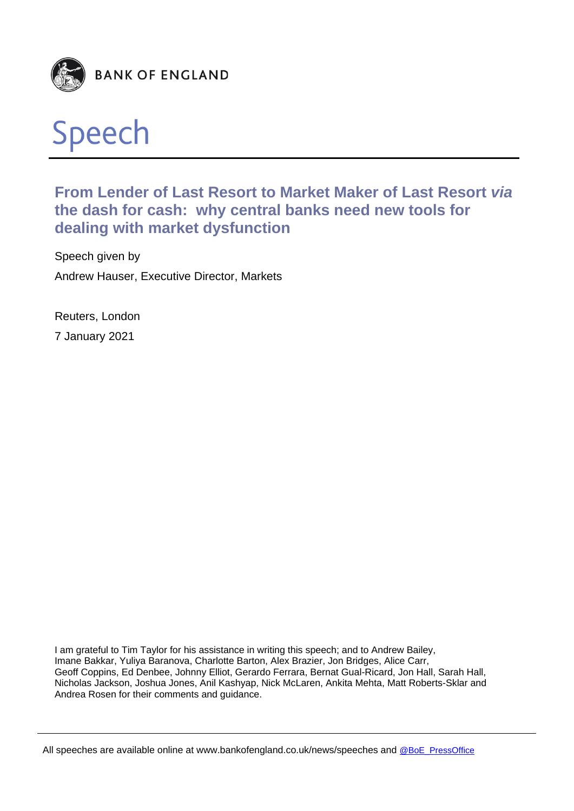



# **From Lender of Last Resort to Market Maker of Last Resort** *via* **the dash for cash: why central banks need new tools for dealing with market dysfunction**

Speech given by Andrew Hauser, Executive Director, Markets

Reuters, London 7 January 2021

I am grateful to Tim Taylor for his assistance in writing this speech; and to Andrew Bailey, Imane Bakkar, Yuliya Baranova, Charlotte Barton, Alex Brazier, Jon Bridges, Alice Carr, Geoff Coppins, Ed Denbee, Johnny Elliot, Gerardo Ferrara, Bernat Gual-Ricard, Jon Hall, Sarah Hall, Nicholas Jackson, Joshua Jones, Anil Kashyap, Nick McLaren, Ankita Mehta, Matt Roberts-Sklar and Andrea Rosen for their comments and guidance.

All speeches are available online at www.bankofengland.co.uk/news/speeches and @BoE\_PressOffice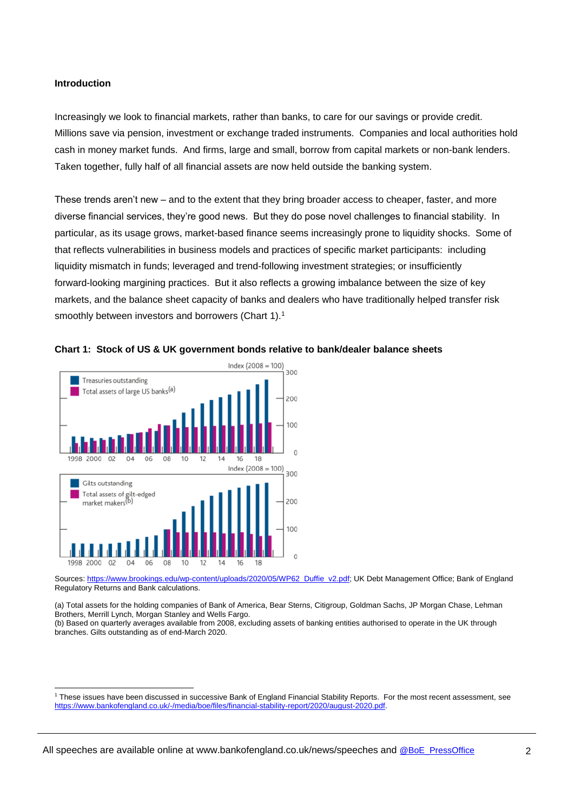#### **Introduction**

Increasingly we look to financial markets, rather than banks, to care for our savings or provide credit. Millions save via pension, investment or exchange traded instruments. Companies and local authorities hold cash in money market funds. And firms, large and small, borrow from capital markets or non-bank lenders. Taken together, fully half of all financial assets are now held outside the banking system.

These trends aren't new – and to the extent that they bring broader access to cheaper, faster, and more diverse financial services, they're good news. But they do pose novel challenges to financial stability. In particular, as its usage grows, market-based finance seems increasingly prone to liquidity shocks. Some of that reflects vulnerabilities in business models and practices of specific market participants: including liquidity mismatch in funds; leveraged and trend-following investment strategies; or insufficiently forward-looking margining practices. But it also reflects a growing imbalance between the size of key markets, and the balance sheet capacity of banks and dealers who have traditionally helped transfer risk smoothly between investors and borrowers (Chart 1).<sup>1</sup>





Sources: https://www.brookings.edu/wp-content/uploads/2020/05/WP62\_Duffie\_v2.pdf; UK Debt Management Office: Bank of England Regulatory Returns and Bank calculations.

(a) Total assets for the holding companies of Bank of America, Bear Sterns, Citigroup, Goldman Sachs, JP Morgan Chase, Lehman Brothers, Merrill Lynch, Morgan Stanley and Wells Fargo.

(b) Based on quarterly averages available from 2008, excluding assets of banking entities authorised to operate in the UK through branches. Gilts outstanding as of end-March 2020.

l <sup>1</sup> These issues have been discussed in successive Bank of England Financial Stability Reports. For the most recent assessment, see https://www.bankofengland.co.uk/-/media/boe/files/financial-stability-report/2020/august-2020.pdf.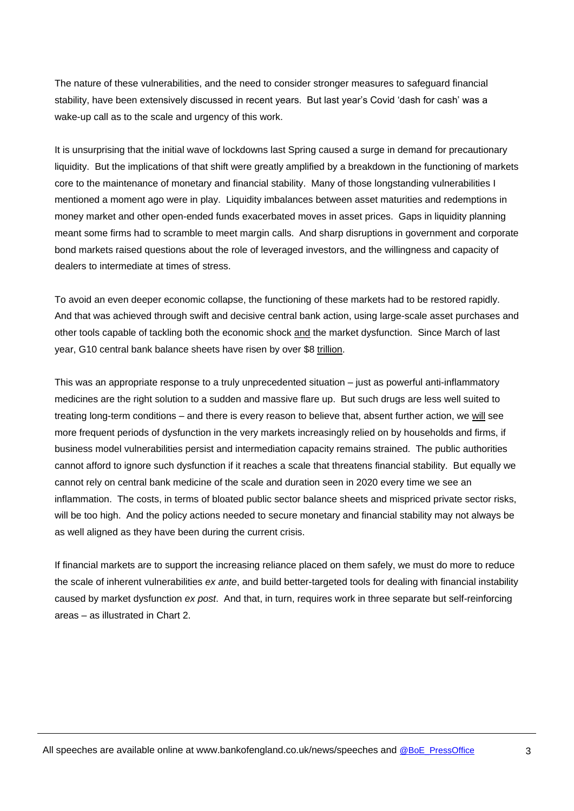The nature of these vulnerabilities, and the need to consider stronger measures to safeguard financial stability, have been extensively discussed in recent years. But last year's Covid 'dash for cash' was a wake-up call as to the scale and urgency of this work.

It is unsurprising that the initial wave of lockdowns last Spring caused a surge in demand for precautionary liquidity. But the implications of that shift were greatly amplified by a breakdown in the functioning of markets core to the maintenance of monetary and financial stability. Many of those longstanding vulnerabilities I mentioned a moment ago were in play. Liquidity imbalances between asset maturities and redemptions in money market and other open-ended funds exacerbated moves in asset prices. Gaps in liquidity planning meant some firms had to scramble to meet margin calls. And sharp disruptions in government and corporate bond markets raised questions about the role of leveraged investors, and the willingness and capacity of dealers to intermediate at times of stress.

To avoid an even deeper economic collapse, the functioning of these markets had to be restored rapidly. And that was achieved through swift and decisive central bank action, using large-scale asset purchases and other tools capable of tackling both the economic shock and the market dysfunction. Since March of last year, G10 central bank balance sheets have risen by over \$8 trillion.

This was an appropriate response to a truly unprecedented situation – just as powerful anti-inflammatory medicines are the right solution to a sudden and massive flare up. But such drugs are less well suited to treating long-term conditions – and there is every reason to believe that, absent further action, we will see more frequent periods of dysfunction in the very markets increasingly relied on by households and firms, if business model vulnerabilities persist and intermediation capacity remains strained. The public authorities cannot afford to ignore such dysfunction if it reaches a scale that threatens financial stability. But equally we cannot rely on central bank medicine of the scale and duration seen in 2020 every time we see an inflammation. The costs, in terms of bloated public sector balance sheets and mispriced private sector risks, will be too high. And the policy actions needed to secure monetary and financial stability may not always be as well aligned as they have been during the current crisis.

If financial markets are to support the increasing reliance placed on them safely, we must do more to reduce the scale of inherent vulnerabilities *ex ante*, and build better-targeted tools for dealing with financial instability caused by market dysfunction *ex post*. And that, in turn, requires work in three separate but self-reinforcing areas – as illustrated in Chart 2.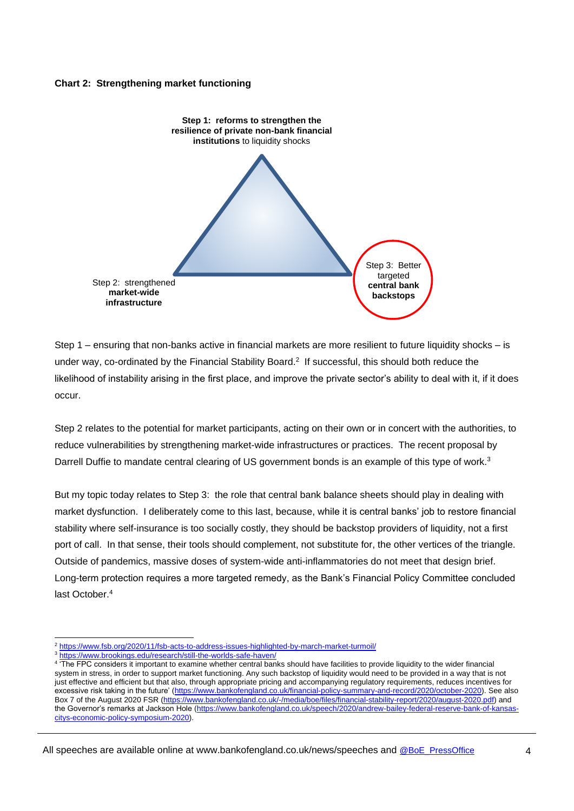#### **Chart 2: Strengthening market functioning**



Step 1 – ensuring that non-banks active in financial markets are more resilient to future liquidity shocks – is under way, co-ordinated by the Financial Stability Board.<sup>2</sup> If successful, this should both reduce the likelihood of instability arising in the first place, and improve the private sector's ability to deal with it, if it does occur.

Step 2 relates to the potential for market participants, acting on their own or in concert with the authorities, to reduce vulnerabilities by strengthening market-wide infrastructures or practices. The recent proposal by Darrell Duffie to mandate central clearing of US government bonds is an example of this type of work.<sup>3</sup>

But my topic today relates to Step 3: the role that central bank balance sheets should play in dealing with market dysfunction. I deliberately come to this last, because, while it is central banks' job to restore financial stability where self-insurance is too socially costly, they should be backstop providers of liquidity, not a first port of call. In that sense, their tools should complement, not substitute for, the other vertices of the triangle. Outside of pandemics, massive doses of system-wide anti-inflammatories do not meet that design brief. Long-term protection requires a more targeted remedy, as the Bank's Financial Policy Committee concluded last October.<sup>4</sup>

l

<sup>2</sup> https://www.fsb.org/2020/11/fsb-acts-to-address-issues-highlighted-by-march-market-turmoil/

<sup>3</sup> https://www.brookings.edu/research/still-the-worlds-safe-haven/

<sup>4</sup> 'The FPC considers it important to examine whether central banks should have facilities to provide liquidity to the wider financial system in stress, in order to support market functioning. Any such backstop of liquidity would need to be provided in a way that is not just effective and efficient but that also, through appropriate pricing and accompanying regulatory requirements, reduces incentives for excessive risk taking in the future' (https://www.bankofengland.co.uk/financial-policy-summary-and-record/2020/october-2020). See also Box 7 of the August 2020 FSR (https://www.bankofengland.co.uk/-/media/boe/files/financial-stability-report/2020/august-2020.pdf) and the Governor's remarks at Jackson Hole (https://www.bankofengland.co.uk/speech/2020/andrew-bailey-federal-reserve-bank-of-kansascitys-economic-policy-symposium-2020).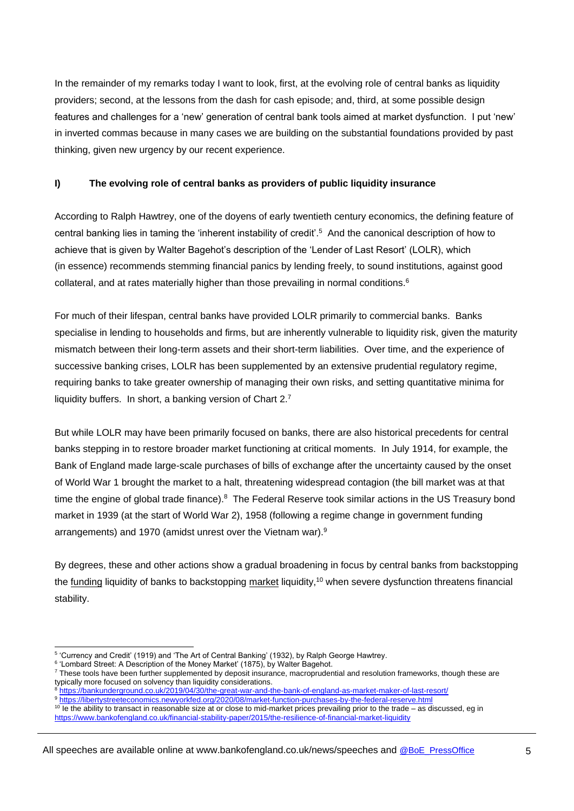In the remainder of my remarks today I want to look, first, at the evolving role of central banks as liquidity providers; second, at the lessons from the dash for cash episode; and, third, at some possible design features and challenges for a 'new' generation of central bank tools aimed at market dysfunction. I put 'new' in inverted commas because in many cases we are building on the substantial foundations provided by past thinking, given new urgency by our recent experience.

# **I) The evolving role of central banks as providers of public liquidity insurance**

According to Ralph Hawtrey, one of the doyens of early twentieth century economics, the defining feature of central banking lies in taming the 'inherent instability of credit'.<sup>5</sup> And the canonical description of how to achieve that is given by Walter Bagehot's description of the 'Lender of Last Resort' (LOLR), which (in essence) recommends stemming financial panics by lending freely, to sound institutions, against good collateral, and at rates materially higher than those prevailing in normal conditions.<sup>6</sup>

For much of their lifespan, central banks have provided LOLR primarily to commercial banks. Banks specialise in lending to households and firms, but are inherently vulnerable to liquidity risk, given the maturity mismatch between their long-term assets and their short-term liabilities. Over time, and the experience of successive banking crises, LOLR has been supplemented by an extensive prudential regulatory regime, requiring banks to take greater ownership of managing their own risks, and setting quantitative minima for liquidity buffers. In short, a banking version of Chart  $2.7$ 

But while LOLR may have been primarily focused on banks, there are also historical precedents for central banks stepping in to restore broader market functioning at critical moments. In July 1914, for example, the Bank of England made large-scale purchases of bills of exchange after the uncertainty caused by the onset of World War 1 brought the market to a halt, threatening widespread contagion (the bill market was at that time the engine of global trade finance).<sup>8</sup> The Federal Reserve took similar actions in the US Treasury bond market in 1939 (at the start of World War 2), 1958 (following a regime change in government funding arrangements) and 1970 (amidst unrest over the Vietnam war).<sup>9</sup>

By degrees, these and other actions show a gradual broadening in focus by central banks from backstopping the funding liquidity of banks to backstopping market liquidity,<sup>10</sup> when severe dysfunction threatens financial stability.

 5 'Currency and Credit' (1919) and 'The Art of Central Banking' (1932), by Ralph George Hawtrey.

<sup>6</sup> 'Lombard Street: A Description of the Money Market' (1875), by Walter Bagehot.

<sup>7</sup> These tools have been further supplemented by deposit insurance, macroprudential and resolution frameworks, though these are typically more focused on solvency than liquidity considerations.

<sup>8</sup> https://bankunderground.co.uk/2019/04/30/the-great-war-and-the-bank-of-england-as-market-maker-of-last-resort/

<sup>9</sup> https://libertystreeteconomics.newyorkfed.org/2020/08/market-function-purchases-by-the-federal-reserve.html

 $10$  Ie the ability to transact in reasonable size at or close to mid-market prices prevailing prior to the trade – as discussed, eq in https://www.bankofengland.co.uk/financial-stability-paper/2015/the-resilience-of-financial-market-liquidity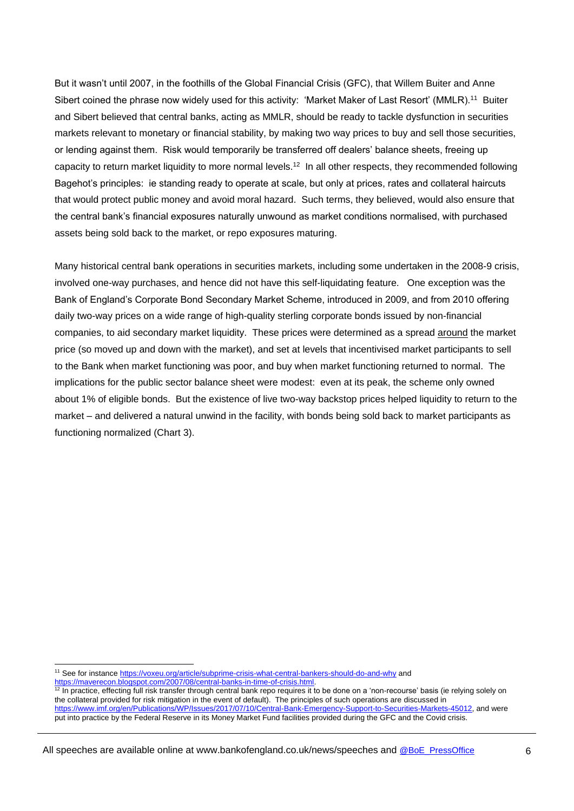But it wasn't until 2007, in the foothills of the Global Financial Crisis (GFC), that Willem Buiter and Anne Sibert coined the phrase now widely used for this activity: 'Market Maker of Last Resort' (MMLR).<sup>11</sup> Buiter and Sibert believed that central banks, acting as MMLR, should be ready to tackle dysfunction in securities markets relevant to monetary or financial stability, by making two way prices to buy and sell those securities, or lending against them. Risk would temporarily be transferred off dealers' balance sheets, freeing up capacity to return market liquidity to more normal levels.<sup>12</sup> In all other respects, they recommended following Bagehot's principles: ie standing ready to operate at scale, but only at prices, rates and collateral haircuts that would protect public money and avoid moral hazard. Such terms, they believed, would also ensure that the central bank's financial exposures naturally unwound as market conditions normalised, with purchased assets being sold back to the market, or repo exposures maturing.

Many historical central bank operations in securities markets, including some undertaken in the 2008-9 crisis, involved one-way purchases, and hence did not have this self-liquidating feature. One exception was the Bank of England's Corporate Bond Secondary Market Scheme, introduced in 2009, and from 2010 offering daily two-way prices on a wide range of high-quality sterling corporate bonds issued by non-financial companies, to aid secondary market liquidity. These prices were determined as a spread around the market price (so moved up and down with the market), and set at levels that incentivised market participants to sell to the Bank when market functioning was poor, and buy when market functioning returned to normal. The implications for the public sector balance sheet were modest: even at its peak, the scheme only owned about 1% of eligible bonds. But the existence of live two-way backstop prices helped liquidity to return to the market – and delivered a natural unwind in the facility, with bonds being sold back to market participants as functioning normalized (Chart 3).

l

<sup>11</sup> See for instance https://voxeu.org/article/subprime-crisis-what-central-bankers-should-do-and-why and https://maverecon.blogspot.com/2007/08/central-banks-in-time-of-crisis.html.

<sup>&</sup>lt;sup>12</sup> In practice, effecting full risk transfer through central bank repo requires it to be done on a 'non-recourse' basis (ie relying solely on the collateral provided for risk mitigation in the event of default). The principles of such operations are discussed in https://www.imf.org/en/Publications/WP/Issues/2017/07/10/Central-Bank-Emergency-Support-to-Securities-Markets-45012, and were

put into practice by the Federal Reserve in its Money Market Fund facilities provided during the GFC and the Covid crisis.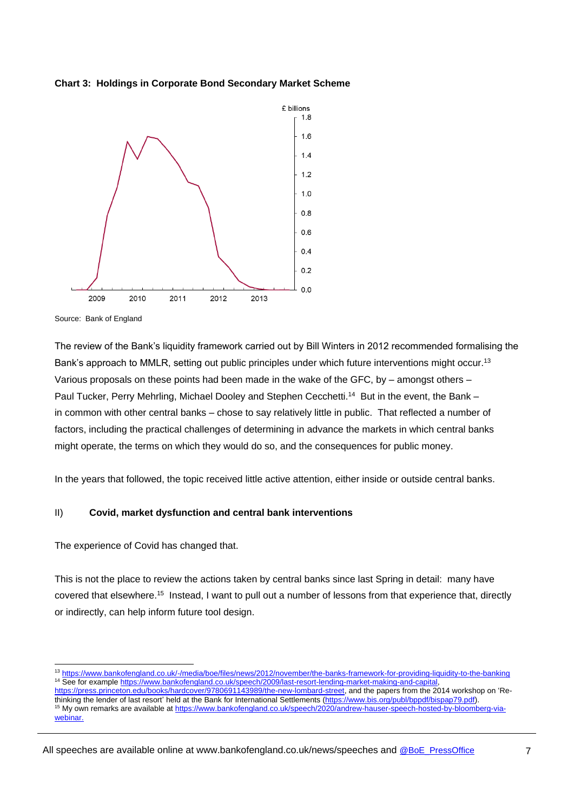



Source: Bank of England

l

The review of the Bank's liquidity framework carried out by Bill Winters in 2012 recommended formalising the Bank's approach to MMLR, setting out public principles under which future interventions might occur.<sup>13</sup> Various proposals on these points had been made in the wake of the GFC, by – amongst others – Paul Tucker, Perry Mehrling, Michael Dooley and Stephen Cecchetti.<sup>14</sup> But in the event, the Bank in common with other central banks – chose to say relatively little in public. That reflected a number of factors, including the practical challenges of determining in advance the markets in which central banks might operate, the terms on which they would do so, and the consequences for public money.

In the years that followed, the topic received little active attention, either inside or outside central banks.

## II) **Covid, market dysfunction and central bank interventions**

The experience of Covid has changed that.

This is not the place to review the actions taken by central banks since last Spring in detail: many have covered that elsewhere.<sup>15</sup> Instead, I want to pull out a number of lessons from that experience that, directly or indirectly, can help inform future tool design.

<sup>13</sup> https://www.bankofengland.co.uk/-/media/boe/files/news/2012/november/the-banks-framework-for-providing-liquidity-to-the-banking <sup>14</sup> See for example https://www.bankofengland.co.uk/speech/2009/last-resort-lending-market-making-and-capital,

https://press.princeton.edu/books/hardcover/9780691143989/the-new-lombard-street, and the papers from the 2014 workshop on 'Rethinking the lender of last resort' held at the Bank for International Settlements (https://www.bis.org/publ/bppdf/bispap79.pdf). <sup>15</sup> My own remarks are available at https://www.bankofengland.co.uk/speech/2020/andrew-hauser-speech-hosted-by-bloomberg-viawebinar.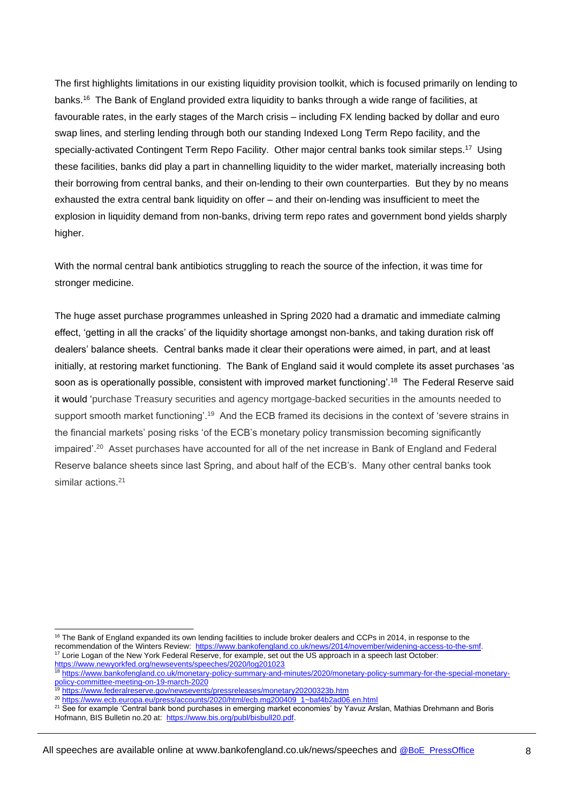The first highlights limitations in our existing liquidity provision toolkit, which is focused primarily on lending to banks.<sup>16</sup> The Bank of England provided extra liquidity to banks through a wide range of facilities, at favourable rates, in the early stages of the March crisis – including FX lending backed by dollar and euro swap lines, and sterling lending through both our standing Indexed Long Term Repo facility, and the specially-activated Contingent Term Repo Facility. Other major central banks took similar steps.<sup>17</sup> Using these facilities, banks did play a part in channelling liquidity to the wider market, materially increasing both their borrowing from central banks, and their on-lending to their own counterparties. But they by no means exhausted the extra central bank liquidity on offer – and their on-lending was insufficient to meet the explosion in liquidity demand from non-banks, driving term repo rates and government bond yields sharply higher.

With the normal central bank antibiotics struggling to reach the source of the infection, it was time for stronger medicine.

The huge asset purchase programmes unleashed in Spring 2020 had a dramatic and immediate calming effect, 'getting in all the cracks' of the liquidity shortage amongst non-banks, and taking duration risk off dealers' balance sheets. Central banks made it clear their operations were aimed, in part, and at least initially, at restoring market functioning. The Bank of England said it would complete its asset purchases 'as soon as is operationally possible, consistent with improved market functioning'.<sup>18</sup> The Federal Reserve said it would 'purchase Treasury securities and agency mortgage-backed securities in the amounts needed to support smooth market functioning'.<sup>19</sup> And the ECB framed its decisions in the context of 'severe strains in the financial markets' posing risks 'of the ECB's monetary policy transmission becoming significantly impaired'.<sup>20</sup> Asset purchases have accounted for all of the net increase in Bank of England and Federal Reserve balance sheets since last Spring, and about half of the ECB's. Many other central banks took similar actions.<sup>21</sup>

19 https://www.federalreserve.gov/newsevents/pressreleases/monetary20200323b.htm

l

<sup>20</sup> https://www.ecb.europa.eu/press/accounts/2020/html/ecb.mg200409\_1~baf4b2ad06.en.html

<sup>21</sup> See for example 'Central bank bond purchases in emerging market economies' by Yavuz Arslan, Mathias Drehmann and Boris Hofmann, BIS Bulletin no.20 at: https://www.bis.org/publ/bisbull20.pdf.

<sup>&</sup>lt;sup>16</sup> The Bank of England expanded its own lending facilities to include broker dealers and CCPs in 2014, in response to the recommendation of the Winters Review: https://www.bankofengland.co.uk/news/2014/november/widening-access-to-the-smf. <sup>17</sup> Lorie Logan of the New York Federal Reserve, for example, set out the US approach in a speech last October: https://www.newyorkfed.org/newsevents/speeches/2020/log201023

<sup>18</sup> https://www.bankofengland.co.uk/monetary-policy-summary-and-minutes/2020/monetary-policy-summary-for-the-special-monetarypolicy-committee-meeting-on-19-march-2020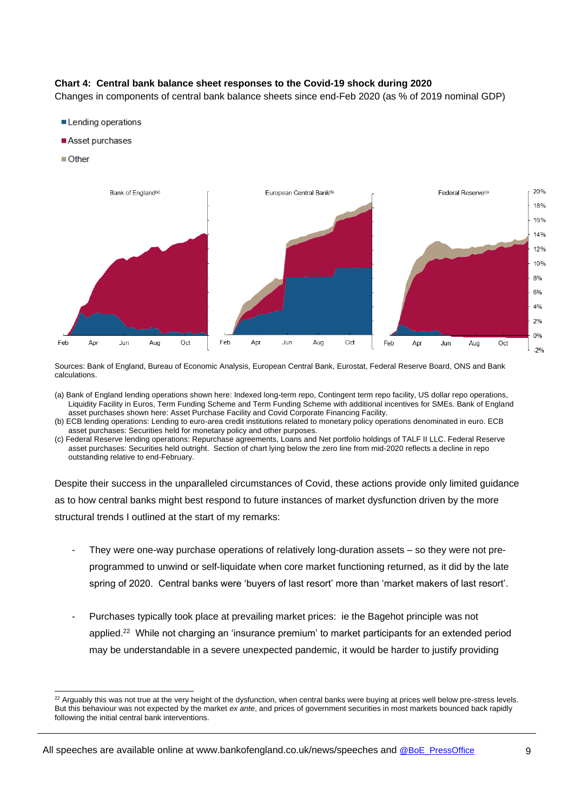# **Chart 4: Central bank balance sheet responses to the Covid-19 shock during 2020**

Changes in components of central bank balance sheets since end-Feb 2020 (as % of 2019 nominal GDP)

- Lending operations
- Asset purchases
- $\blacksquare$  Other

l



Sources: Bank of England, Bureau of Economic Analysis, European Central Bank, Eurostat, Federal Reserve Board, ONS and Bank calculations.

- (a) Bank of England lending operations shown here: Indexed long-term repo, Contingent term repo facility, US dollar repo operations, Liquidity Facility in Euros, Term Funding Scheme and Term Funding Scheme with additional incentives for SMEs. Bank of England asset purchases shown here: Asset Purchase Facility and Covid Corporate Financing Facility.
- (b) ECB lending operations: Lending to euro-area credit institutions related to monetary policy operations denominated in euro. ECB asset purchases: Securities held for monetary policy and other purposes.
- (c) Federal Reserve lending operations: Repurchase agreements, Loans and Net portfolio holdings of TALF II LLC. Federal Reserve asset purchases: Securities held outright. Section of chart lying below the zero line from mid-2020 reflects a decline in repo outstanding relative to end-February.

Despite their success in the unparalleled circumstances of Covid, these actions provide only limited guidance as to how central banks might best respond to future instances of market dysfunction driven by the more structural trends I outlined at the start of my remarks:

- They were one-way purchase operations of relatively long-duration assets so they were not preprogrammed to unwind or self-liquidate when core market functioning returned, as it did by the late spring of 2020. Central banks were 'buyers of last resort' more than 'market makers of last resort'.
- Purchases typically took place at prevailing market prices: ie the Bagehot principle was not applied.<sup>22</sup> While not charging an 'insurance premium' to market participants for an extended period may be understandable in a severe unexpected pandemic, it would be harder to justify providing

<sup>&</sup>lt;sup>22</sup> Arguably this was not true at the very height of the dysfunction, when central banks were buying at prices well below pre-stress levels. But this behaviour was not expected by the market *ex ante*, and prices of government securities in most markets bounced back rapidly following the initial central bank interventions.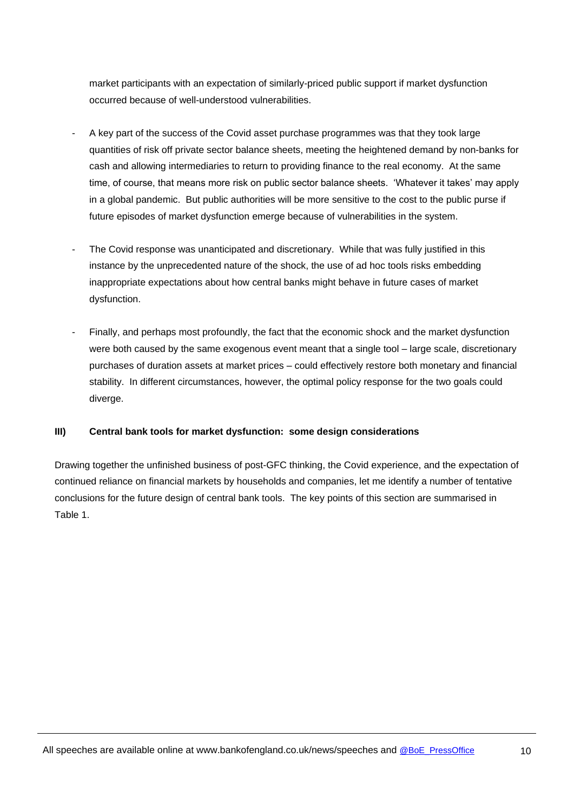market participants with an expectation of similarly-priced public support if market dysfunction occurred because of well-understood vulnerabilities.

- A key part of the success of the Covid asset purchase programmes was that they took large quantities of risk off private sector balance sheets, meeting the heightened demand by non-banks for cash and allowing intermediaries to return to providing finance to the real economy. At the same time, of course, that means more risk on public sector balance sheets. 'Whatever it takes' may apply in a global pandemic. But public authorities will be more sensitive to the cost to the public purse if future episodes of market dysfunction emerge because of vulnerabilities in the system.
- The Covid response was unanticipated and discretionary. While that was fully justified in this instance by the unprecedented nature of the shock, the use of ad hoc tools risks embedding inappropriate expectations about how central banks might behave in future cases of market dysfunction.
- Finally, and perhaps most profoundly, the fact that the economic shock and the market dysfunction were both caused by the same exogenous event meant that a single tool – large scale, discretionary purchases of duration assets at market prices – could effectively restore both monetary and financial stability. In different circumstances, however, the optimal policy response for the two goals could diverge.

## **III) Central bank tools for market dysfunction: some design considerations**

Drawing together the unfinished business of post-GFC thinking, the Covid experience, and the expectation of continued reliance on financial markets by households and companies, let me identify a number of tentative conclusions for the future design of central bank tools. The key points of this section are summarised in Table 1.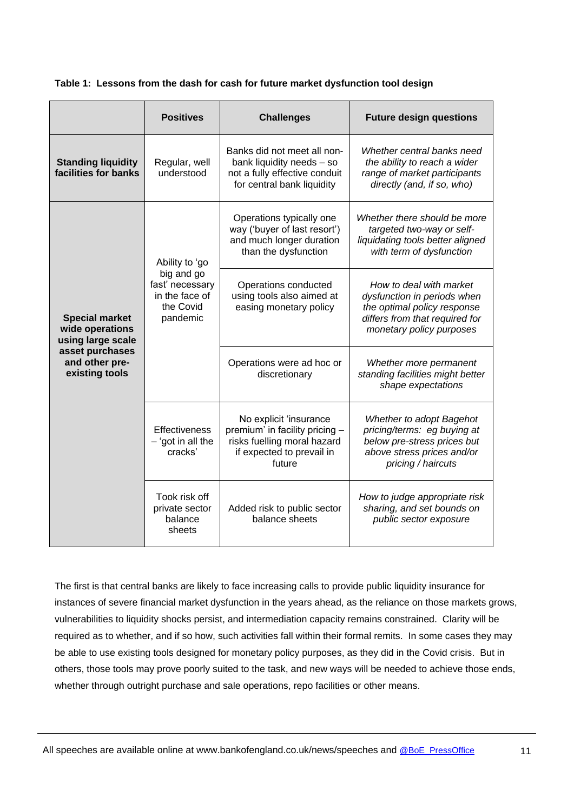|                                                                                                                      | <b>Positives</b>                                                                           | <b>Challenges</b>                                                                                                              | <b>Future design questions</b>                                                                                                                      |
|----------------------------------------------------------------------------------------------------------------------|--------------------------------------------------------------------------------------------|--------------------------------------------------------------------------------------------------------------------------------|-----------------------------------------------------------------------------------------------------------------------------------------------------|
| <b>Standing liquidity</b><br>facilities for banks                                                                    | Regular, well<br>understood                                                                | Banks did not meet all non-<br>bank liquidity needs - so<br>not a fully effective conduit<br>for central bank liquidity        | Whether central banks need<br>the ability to reach a wider<br>range of market participants<br>directly (and, if so, who)                            |
| <b>Special market</b><br>wide operations<br>using large scale<br>asset purchases<br>and other pre-<br>existing tools | Ability to 'go<br>big and go<br>fast' necessary<br>in the face of<br>the Covid<br>pandemic | Operations typically one<br>way ('buyer of last resort')<br>and much longer duration<br>than the dysfunction                   | Whether there should be more<br>targeted two-way or self-<br>liquidating tools better aligned<br>with term of dysfunction                           |
|                                                                                                                      |                                                                                            | Operations conducted<br>using tools also aimed at<br>easing monetary policy                                                    | How to deal with market<br>dysfunction in periods when<br>the optimal policy response<br>differs from that required for<br>monetary policy purposes |
|                                                                                                                      |                                                                                            | Operations were ad hoc or<br>discretionary                                                                                     | Whether more permanent<br>standing facilities might better<br>shape expectations                                                                    |
|                                                                                                                      | <b>Effectiveness</b><br>$-$ 'got in all the<br>cracks'                                     | No explicit 'insurance<br>premium' in facility pricing -<br>risks fuelling moral hazard<br>if expected to prevail in<br>future | Whether to adopt Bagehot<br>pricing/terms: eg buying at<br>below pre-stress prices but<br>above stress prices and/or<br>pricing / haircuts          |
|                                                                                                                      | Took risk off<br>private sector<br>balance<br>sheets                                       | Added risk to public sector<br>balance sheets                                                                                  | How to judge appropriate risk<br>sharing, and set bounds on<br>public sector exposure                                                               |

The first is that central banks are likely to face increasing calls to provide public liquidity insurance for instances of severe financial market dysfunction in the years ahead, as the reliance on those markets grows, vulnerabilities to liquidity shocks persist, and intermediation capacity remains constrained. Clarity will be required as to whether, and if so how, such activities fall within their formal remits. In some cases they may be able to use existing tools designed for monetary policy purposes, as they did in the Covid crisis. But in others, those tools may prove poorly suited to the task, and new ways will be needed to achieve those ends, whether through outright purchase and sale operations, repo facilities or other means.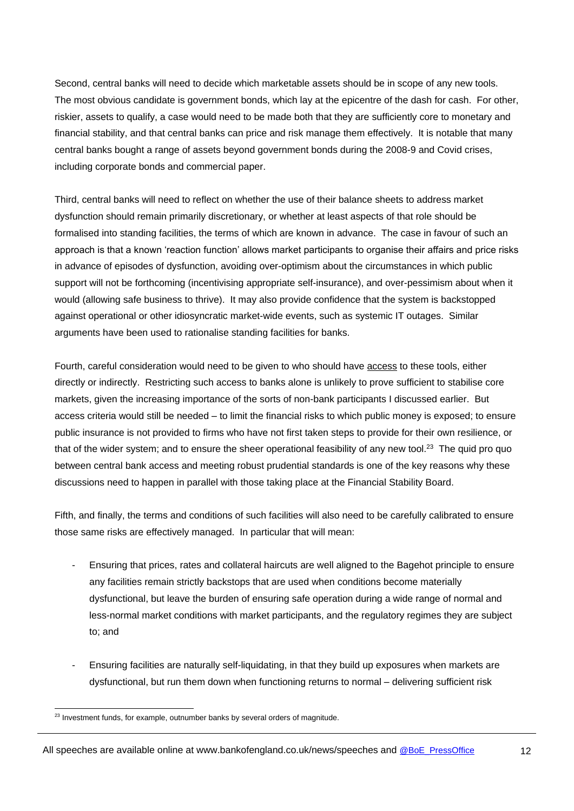Second, central banks will need to decide which marketable assets should be in scope of any new tools. The most obvious candidate is government bonds, which lay at the epicentre of the dash for cash. For other, riskier, assets to qualify, a case would need to be made both that they are sufficiently core to monetary and financial stability, and that central banks can price and risk manage them effectively. It is notable that many central banks bought a range of assets beyond government bonds during the 2008-9 and Covid crises, including corporate bonds and commercial paper.

Third, central banks will need to reflect on whether the use of their balance sheets to address market dysfunction should remain primarily discretionary, or whether at least aspects of that role should be formalised into standing facilities, the terms of which are known in advance. The case in favour of such an approach is that a known 'reaction function' allows market participants to organise their affairs and price risks in advance of episodes of dysfunction, avoiding over-optimism about the circumstances in which public support will not be forthcoming (incentivising appropriate self-insurance), and over-pessimism about when it would (allowing safe business to thrive). It may also provide confidence that the system is backstopped against operational or other idiosyncratic market-wide events, such as systemic IT outages. Similar arguments have been used to rationalise standing facilities for banks.

Fourth, careful consideration would need to be given to who should have access to these tools, either directly or indirectly. Restricting such access to banks alone is unlikely to prove sufficient to stabilise core markets, given the increasing importance of the sorts of non-bank participants I discussed earlier. But access criteria would still be needed – to limit the financial risks to which public money is exposed; to ensure public insurance is not provided to firms who have not first taken steps to provide for their own resilience, or that of the wider system; and to ensure the sheer operational feasibility of any new tool.<sup>23</sup> The quid pro quo between central bank access and meeting robust prudential standards is one of the key reasons why these discussions need to happen in parallel with those taking place at the Financial Stability Board.

Fifth, and finally, the terms and conditions of such facilities will also need to be carefully calibrated to ensure those same risks are effectively managed. In particular that will mean:

- Ensuring that prices, rates and collateral haircuts are well aligned to the Bagehot principle to ensure any facilities remain strictly backstops that are used when conditions become materially dysfunctional, but leave the burden of ensuring safe operation during a wide range of normal and less-normal market conditions with market participants, and the regulatory regimes they are subject to; and
- Ensuring facilities are naturally self-liquidating, in that they build up exposures when markets are dysfunctional, but run them down when functioning returns to normal – delivering sufficient risk

l <sup>23</sup> Investment funds, for example, outnumber banks by several orders of magnitude.